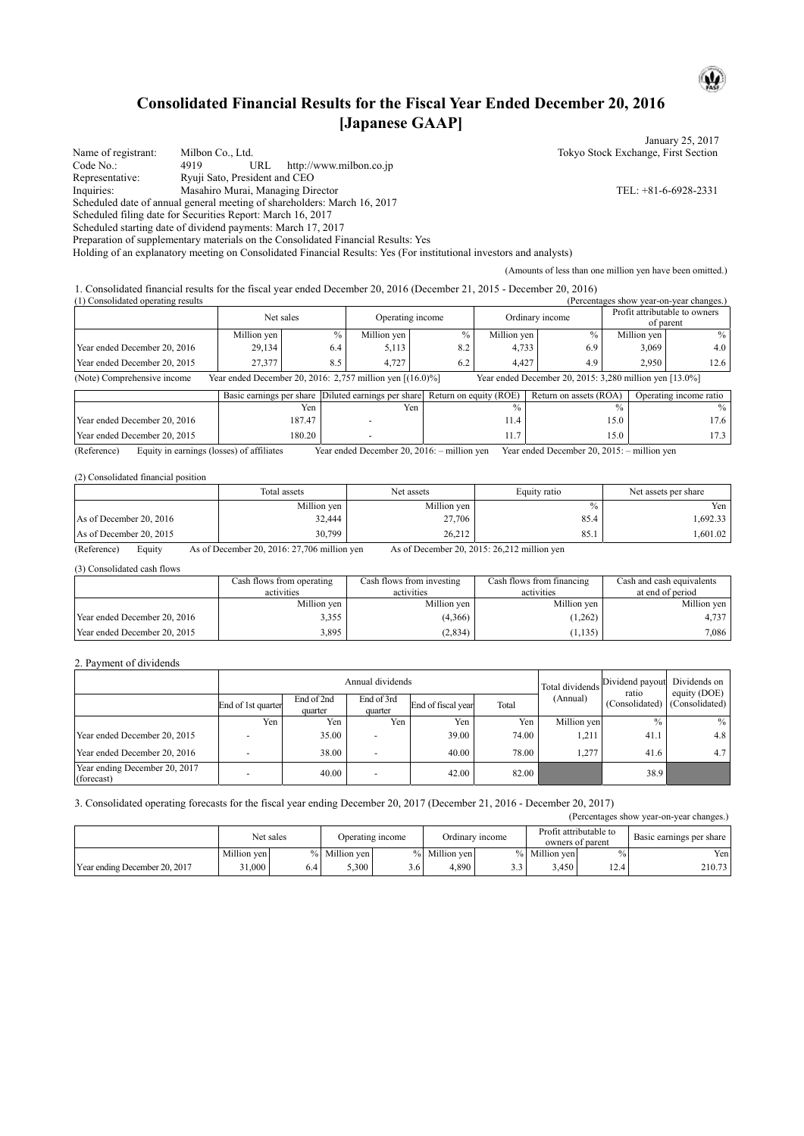# **Consolidated Financial Results for the Fiscal Year Ended December 20, 2016 [Japanese GAAP]**

January 25, 2017 Name of registrant: Milbon Co., Ltd. Tokyo Stock Exchange, First Section<br>
Code No.: 4919 URL http://www.milbon.co.jp Code No.: 4919 URL http://www.milbon.co.jp<br>
Representative: Ryuji Sato, President and CEO Ryuji Sato, President and CEO Inquiries: Masahiro Murai, Managing Director TEL: +81-6-6928-2331 Scheduled date of annual general meeting of shareholders: March 16, 2017 Scheduled filing date for Securities Report: March 16, 2017 Scheduled starting date of dividend payments: March 17, 2017 Preparation of supplementary materials on the Consolidated Financial Results: Yes Holding of an explanatory meeting on Consolidated Financial Results: Yes (For institutional investors and analysts) (Amounts of less than one million yen have been omitted.)

1. Consolidated financial results for the fiscal year ended December 20, 2016 (December 21, 2015 - December 20, 2016)  $(Percentages show year-on-year changes.)$ 

|                              | Net sales                                                    |     | Operating income |      | Ordinary income |                                                         | Profit attributable to owners<br>of parent |                  |
|------------------------------|--------------------------------------------------------------|-----|------------------|------|-----------------|---------------------------------------------------------|--------------------------------------------|------------------|
|                              | Million yen                                                  | %   | Million ven      | $\%$ | Million yen     |                                                         | Million ven                                | $\%$             |
| Year ended December 20, 2016 | 29,134                                                       | 6.4 | 5,113            | 8.2  | 4,733           | 6.9                                                     | 3,069                                      | 4.0 <sub>1</sub> |
| Year ended December 20, 2015 | 27.377                                                       | 8.5 | 4.727            | 6.2  | 4.427           | 4.9                                                     | 2.950                                      | 12.6             |
| (Note) Comprehensive income  | Year ended December 20, 2016: 2,757 million yen $[(16.0)\%]$ |     |                  |      |                 | Year ended December 20, 2015: 3,280 million yen [13.0%] |                                            |                  |

|                              |        | Basic earnings per share Diluted earnings per share Return on equity (ROE) |      | Return on assets (ROA) | Operating income ratio |
|------------------------------|--------|----------------------------------------------------------------------------|------|------------------------|------------------------|
|                              | Yen    | Yen                                                                        |      |                        | %                      |
| Year ended December 20, 2016 | 187.47 |                                                                            | 11.4 | l 5.0                  | 7.6                    |
| Year ended December 20, 2015 | 180.20 |                                                                            | .    | 15.0                   |                        |

(Reference) Equity in earnings (losses) of affiliates Year ended December 20, 2016: – million yen Year ended December 20, 2015: – million yen

#### (2) Consolidated financial position

|                         | Total assets | Net assets  | Equity ratio  | Net assets per share |
|-------------------------|--------------|-------------|---------------|----------------------|
|                         | Million yen  | Million ven | $\frac{0}{0}$ | Yen                  |
| As of December 20, 2016 | 32,444       | 27,706      | 85.4          | .692.33              |
| As of December 20, 2015 | 30,799       | 26.212      | 85.1          | ,601.02              |

(Reference) Equity As of December 20, 2016: 27,706 million yen As of December 20, 2015: 26,212 million yen

(3) Consolidated cash flows

|                              | Cash flows from operating<br>activities | Cash flows from investing<br>activities | Cash flows from financing<br>activities | Cash and cash equivalents<br>at end of period |
|------------------------------|-----------------------------------------|-----------------------------------------|-----------------------------------------|-----------------------------------------------|
|                              | Million yen                             | Million ven                             | Million ven                             | Million ven                                   |
| Year ended December 20, 2016 | 3,355                                   | (4,366)                                 | (1, 262)                                | 4.737                                         |
| Year ended December 20, 2015 | 3,895                                   | (2, 834)                                | 1,135                                   | 7,086                                         |

#### 2. Payment of dividends

|                                             |                    |                       | Annual dividends         | Total dividends    | Dividend payout<br>ratio | Dividends on<br>equity (DOE) |               |                               |
|---------------------------------------------|--------------------|-----------------------|--------------------------|--------------------|--------------------------|------------------------------|---------------|-------------------------------|
|                                             | End of 1st quarter | End of 2nd<br>quarter | End of 3rd<br>quarter    | End of fiscal year | Total                    | (Annual)                     |               | (Consolidated) (Consolidated) |
|                                             | Yen                | Yen                   | Yen                      | Yen                | Yen .                    | Million yen                  | $\frac{0}{0}$ | $\%$                          |
| Year ended December 20, 2015                |                    | 35.00                 | -                        | 39.00              | 74.00                    | 1,211                        | 41.1          | 4.8                           |
| Year ended December 20, 2016                |                    | 38.00                 | $\overline{\phantom{a}}$ | 40.00              | 78.00                    | .277                         | 41.6          | 4.7                           |
| Year ending December 20, 2017<br>(forecast) |                    | 40.00                 | ۰                        | 42.00              | 82.00                    |                              | 38.9          |                               |

#### 3. Consolidated operating forecasts for the fiscal year ending December 20, 2017 (December 21, 2016 - December 20, 2017)

|                               |             |           |               |                  |               |                 |               |                                            | (Percentages show year-on-year changes.) |
|-------------------------------|-------------|-----------|---------------|------------------|---------------|-----------------|---------------|--------------------------------------------|------------------------------------------|
|                               |             | Net sales |               | Operating income |               | Ordinary income |               | Profit attributable to<br>owners of parent | Basic earnings per share                 |
|                               | Million ven |           | % Million ven |                  | % Million ven |                 | % Million ven | $\frac{0}{0}$                              | Yen                                      |
| Year ending December 20, 2017 | 31,000      | 6.4       | 5.300         | ا 6.د            | 4.890         |                 | 3.450         | 12.4                                       | 210.73                                   |

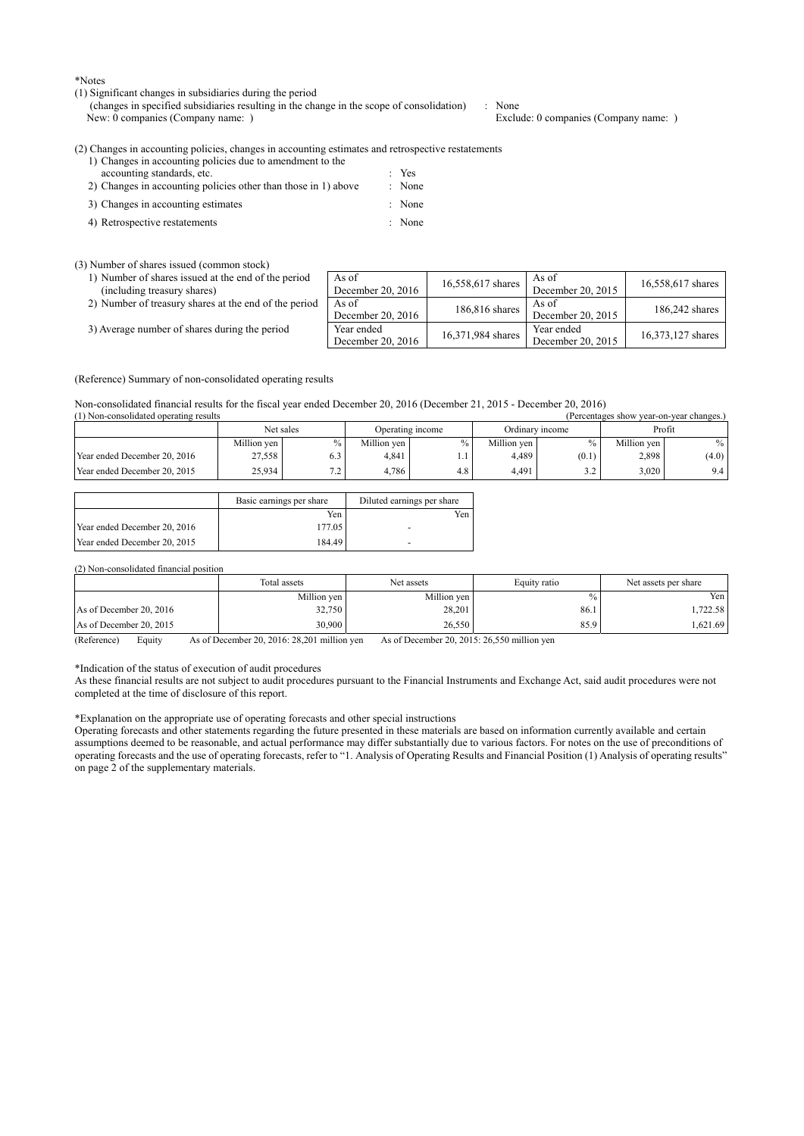\*Notes

#### (1) Significant changes in subsidiaries during the period

(changes in specified subsidiaries resulting in the change in the scope of consolidation) : None<br>New: 0 companies (Company name: ) Exclude: 0 companies (Company name: ) New: 0 companies (Company name: )

(2) Changes in accounting policies, changes in accounting estimates and retrospective restatements

| 1) Changes in accounting policies due to amendment to the      |                   |
|----------------------------------------------------------------|-------------------|
| accounting standards, etc.                                     | $\therefore$ Yes  |
| 2) Changes in accounting policies other than those in 1) above | $\therefore$ None |
| 3) Changes in accounting estimates                             | : None            |
| 4) Retrospective restatements                                  | : None            |

#### (3) Number of shares issued (common stock)

| 1) Number of shares issued at the end of the period |  |  |  |
|-----------------------------------------------------|--|--|--|
| (including treasury shares)                         |  |  |  |
|                                                     |  |  |  |

|  | 2) Number of treasury shares at the end of the period   As of |  |  |  |  |
|--|---------------------------------------------------------------|--|--|--|--|
|--|---------------------------------------------------------------|--|--|--|--|

3) Average number of shares during the period

| As of<br>December 20, 2016      | 16,558,617 shares | As of<br>December 20, 2015      | 16,558,617 shares |
|---------------------------------|-------------------|---------------------------------|-------------------|
| As of<br>December 20, 2016      | 186,816 shares    | As of<br>December 20, 2015      | 186,242 shares    |
| Year ended<br>December 20, 2016 | 16,371,984 shares | Year ended<br>December 20, 2015 | 16,373,127 shares |

(Reference) Summary of non-consolidated operating results

Non-consolidated financial results for the fiscal year ended December 20, 2016 (December 21, 2015 - December 20, 2016)

| (1) Non-consolidated operating results<br>(Percentages show year-on-year changes.) |             |      |             |                  |             |                 |             |                  |  |
|------------------------------------------------------------------------------------|-------------|------|-------------|------------------|-------------|-----------------|-------------|------------------|--|
| Net sales                                                                          |             |      |             | Operating income |             | Ordinary income |             | Profit           |  |
|                                                                                    | Million ven | $\%$ | Million ven | $\%$             | Million ven |                 | Million ven | $\%$             |  |
| Year ended December 20, 2016                                                       | 27,558      | 6.3  | 4.841       | 1.1              | 4.489       | (0.1)           | 2,898       | (4.0)            |  |
| Year ended December 20, 2015                                                       | 25.934      | 7.2  | 4.786       | 4.8              | 4.491       | 2 <sub>2</sub>  | 3.020       | 9.4 <sub>1</sub> |  |

|                              | Basic earnings per share | Diluted earnings per share |
|------------------------------|--------------------------|----------------------------|
|                              | Yen                      | Yen                        |
| Year ended December 20, 2016 | 177.05                   |                            |
| Year ended December 20, 2015 | 184.49                   | -                          |

#### (2) Non-consolidated financial position

|                         | Total assets | Net assets  | Equity ratio | Net assets per share |
|-------------------------|--------------|-------------|--------------|----------------------|
|                         | Million yen  | Million ven | $\%$         | Yen                  |
| As of December 20, 2016 | 32,750       | 28.201      | 86.1         | .722.58              |
| As of December 20, 2015 | 30,900       | 26,550      | 85.9         | .621.69              |

(Reference) Equity As of December 20, 2016: 28,201 million yen As of December 20, 2015: 26,550 million yen

\*Indication of the status of execution of audit procedures

As these financial results are not subject to audit procedures pursuant to the Financial Instruments and Exchange Act, said audit procedures were not completed at the time of disclosure of this report.

\*Explanation on the appropriate use of operating forecasts and other special instructions

Operating forecasts and other statements regarding the future presented in these materials are based on information currently available and certain assumptions deemed to be reasonable, and actual performance may differ substantially due to various factors. For notes on the use of preconditions of operating forecasts and the use of operating forecasts, refer to "1. Analysis of Operating Results and Financial Position (1) Analysis of operating results" on page 2 of the supplementary materials.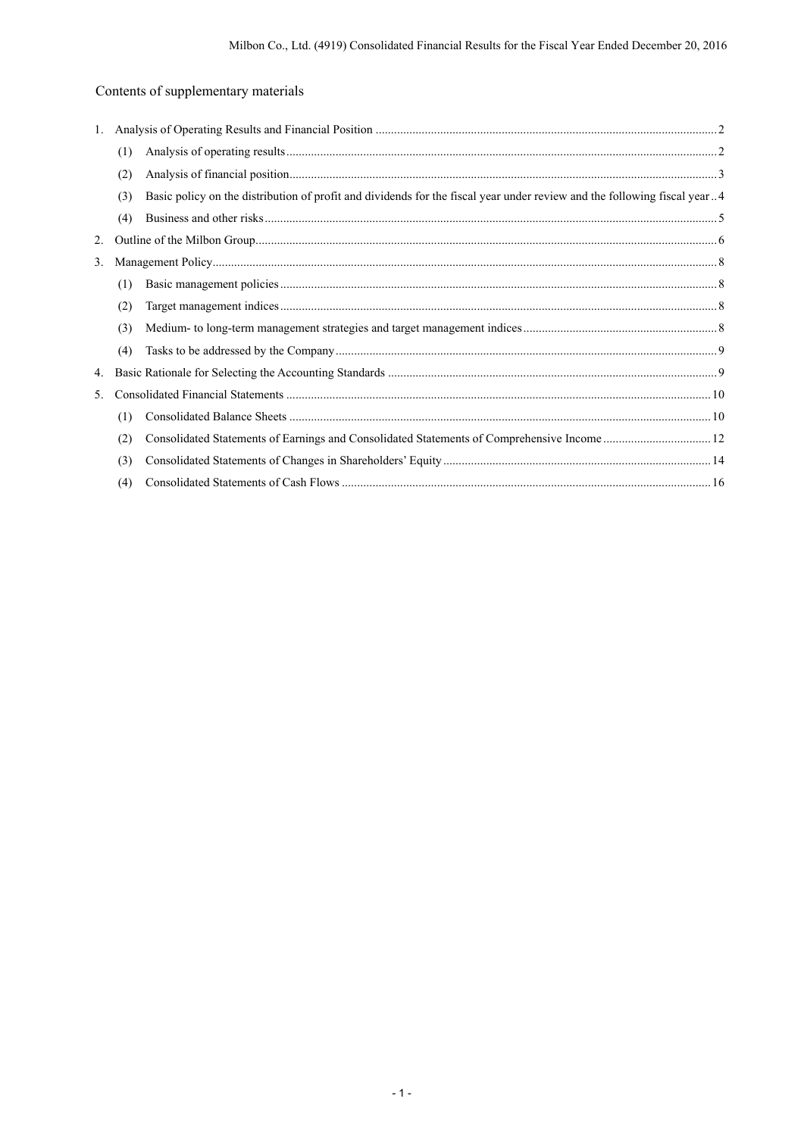# Contents of supplementary materials

| 1. |     |                                                                                                                          |  |
|----|-----|--------------------------------------------------------------------------------------------------------------------------|--|
|    | (1) |                                                                                                                          |  |
|    | (2) |                                                                                                                          |  |
|    | (3) | Basic policy on the distribution of profit and dividends for the fiscal year under review and the following fiscal year4 |  |
|    | (4) |                                                                                                                          |  |
| 2. |     |                                                                                                                          |  |
| 3. |     |                                                                                                                          |  |
|    | (1) |                                                                                                                          |  |
|    | (2) |                                                                                                                          |  |
|    | (3) |                                                                                                                          |  |
|    | (4) |                                                                                                                          |  |
| 4. |     |                                                                                                                          |  |
| 5. |     |                                                                                                                          |  |
|    | (1) |                                                                                                                          |  |
|    | (2) |                                                                                                                          |  |
|    | (3) |                                                                                                                          |  |
|    | (4) |                                                                                                                          |  |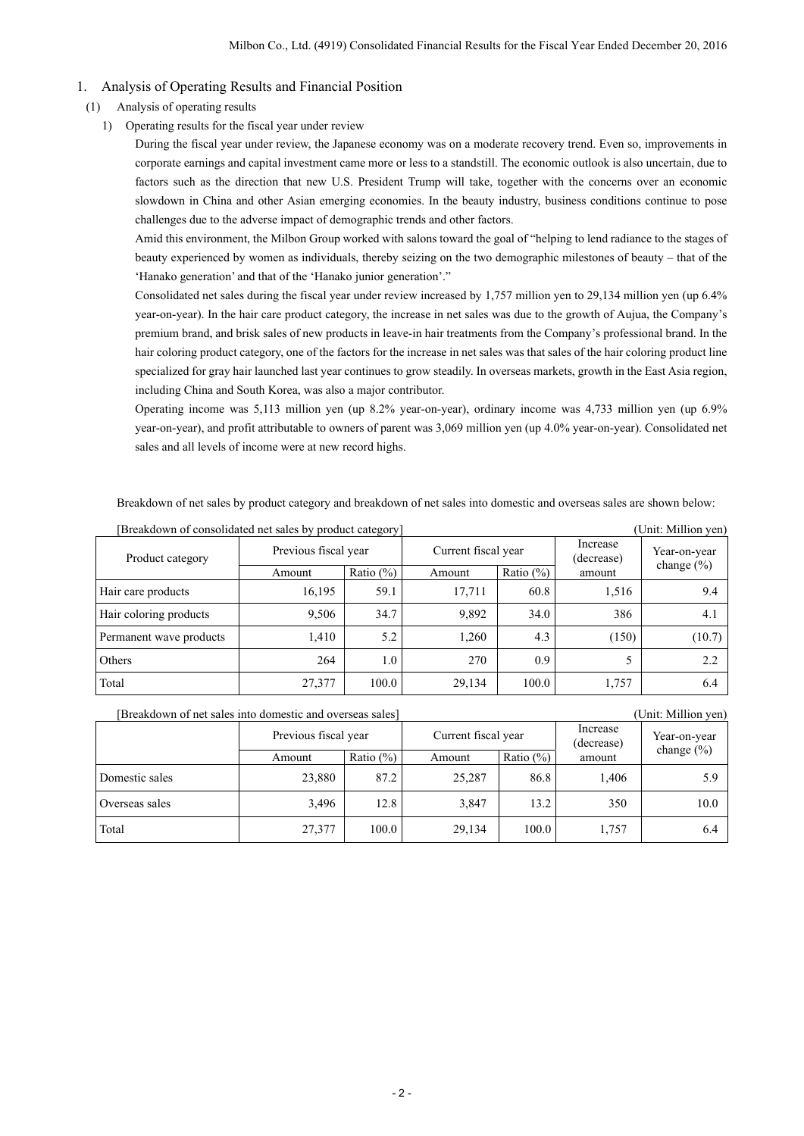### 1. Analysis of Operating Results and Financial Position

#### (1) Analysis of operating results

1) Operating results for the fiscal year under review

During the fiscal year under review, the Japanese economy was on a moderate recovery trend. Even so, improvements in corporate earnings and capital investment came more or less to a standstill. The economic outlook is also uncertain, due to factors such as the direction that new U.S. President Trump will take, together with the concerns over an economic slowdown in China and other Asian emerging economies. In the beauty industry, business conditions continue to pose challenges due to the adverse impact of demographic trends and other factors.

Amid this environment, the Milbon Group worked with salons toward the goal of "helping to lend radiance to the stages of beauty experienced by women as individuals, thereby seizing on the two demographic milestones of beauty – that of the 'Hanako generation' and that of the 'Hanako junior generation'."

Consolidated net sales during the fiscal year under review increased by 1,757 million yen to 29,134 million yen (up 6.4% year-on-year). In the hair care product category, the increase in net sales was due to the growth of Aujua, the Company's premium brand, and brisk sales of new products in leave-in hair treatments from the Company's professional brand. In the hair coloring product category, one of the factors for the increase in net sales was that sales of the hair coloring product line specialized for gray hair launched last year continues to grow steadily. In overseas markets, growth in the East Asia region, including China and South Korea, was also a major contributor.

Operating income was 5,113 million yen (up 8.2% year-on-year), ordinary income was 4,733 million yen (up 6.9% year-on-year), and profit attributable to owners of parent was 3,069 million yen (up 4.0% year-on-year). Consolidated net sales and all levels of income were at new record highs.

Breakdown of net sales by product category and breakdown of net sales into domestic and overseas sales are shown below:

| Breakdown of consolidated net sales by product category]<br>(Unit: Million yen) |                      |              |                     |               |                        |                |  |
|---------------------------------------------------------------------------------|----------------------|--------------|---------------------|---------------|------------------------|----------------|--|
| Product category                                                                | Previous fiscal year |              | Current fiscal year |               | Increase<br>(decrease) | Year-on-year   |  |
|                                                                                 | Amount               | Ratio $(\%)$ | Amount              | Ratio $(\% )$ | amount                 | change $(\% )$ |  |
| Hair care products                                                              | 16,195               | 59.1         | 17,711              | 60.8          | 1,516                  | 9.4            |  |
| Hair coloring products                                                          | 9,506                | 34.7         | 9,892               | 34.0          | 386                    | 4.1            |  |
| Permanent wave products                                                         | 1.410                | 5.2          | 1,260               | 4.3           | (150)                  | (10.7)         |  |
| Others                                                                          | 264                  | 1.0          | 270                 | 0.9           |                        | 2.2            |  |
| Total                                                                           | 27,377               | 100.0        | 29,134              | 100.0         | 1,757                  | 6.4            |  |

| [Breakdown of net sales into domestic and overseas sales] |                      |              |                     |              |                        | (Unit: Million yen) |  |
|-----------------------------------------------------------|----------------------|--------------|---------------------|--------------|------------------------|---------------------|--|
|                                                           | Previous fiscal year |              | Current fiscal year |              | Increase<br>(decrease) | Year-on-year        |  |
|                                                           | Amount               | Ratio $(\%)$ | Amount              | Ratio $(\%)$ | amount                 | change $(\% )$      |  |
| Domestic sales                                            | 23,880               | 87.2         | 25,287              | 86.8         | 1,406                  | 5.9                 |  |
| Overseas sales                                            | 3,496                | 12.8         | 3,847               | 13.2         | 350                    | 10.0                |  |
| Total                                                     | 27,377               | 100.0        | 29,134              | 100.0        | 1,757                  | 6.4                 |  |

 $-2-$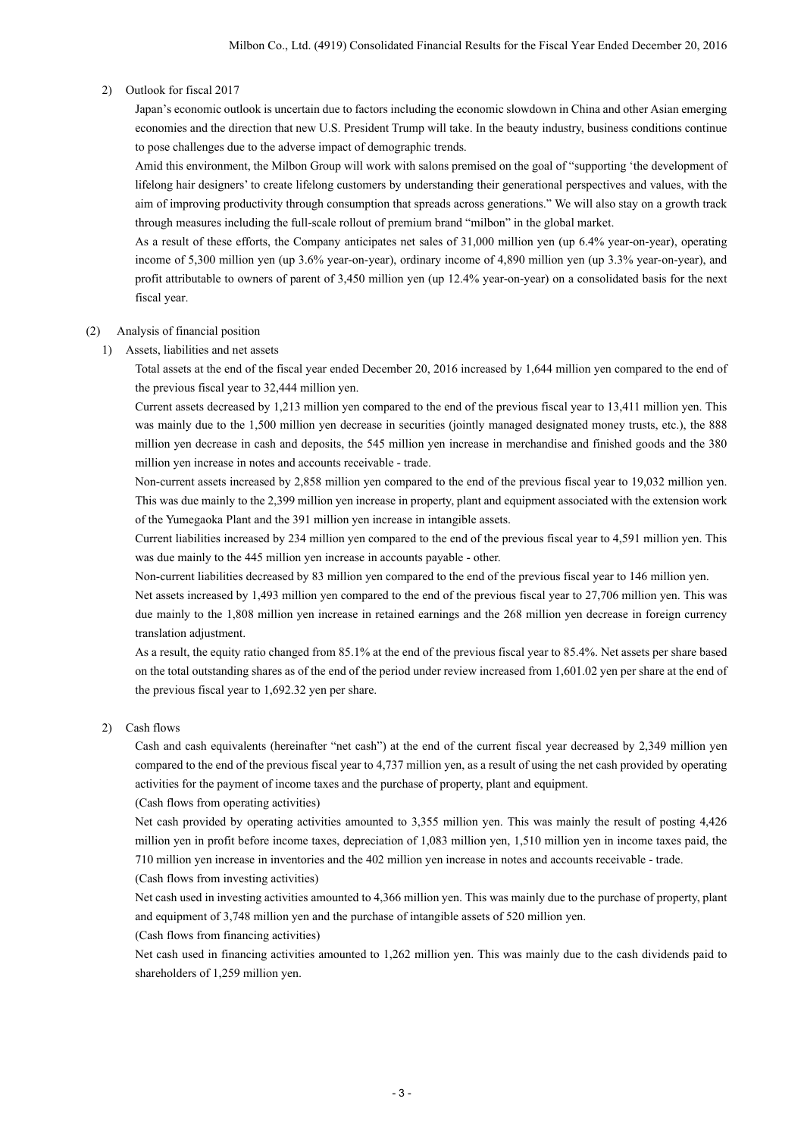#### 2) Outlook for fiscal 2017

Japan's economic outlook is uncertain due to factors including the economic slowdown in China and other Asian emerging economies and the direction that new U.S. President Trump will take. In the beauty industry, business conditions continue to pose challenges due to the adverse impact of demographic trends.

Amid this environment, the Milbon Group will work with salons premised on the goal of "supporting 'the development of lifelong hair designers' to create lifelong customers by understanding their generational perspectives and values, with the aim of improving productivity through consumption that spreads across generations." We will also stay on a growth track through measures including the full-scale rollout of premium brand "milbon" in the global market.

As a result of these efforts, the Company anticipates net sales of 31,000 million yen (up 6.4% year-on-year), operating income of 5,300 million yen (up 3.6% year-on-year), ordinary income of 4,890 million yen (up 3.3% year-on-year), and profit attributable to owners of parent of 3,450 million yen (up 12.4% year-on-year) on a consolidated basis for the next fiscal year.

#### (2) Analysis of financial position

1) Assets, liabilities and net assets

Total assets at the end of the fiscal year ended December 20, 2016 increased by 1,644 million yen compared to the end of the previous fiscal year to 32,444 million yen.

Current assets decreased by 1,213 million yen compared to the end of the previous fiscal year to 13,411 million yen. This was mainly due to the 1,500 million yen decrease in securities (jointly managed designated money trusts, etc.), the 888 million yen decrease in cash and deposits, the 545 million yen increase in merchandise and finished goods and the 380 million yen increase in notes and accounts receivable - trade.

Non-current assets increased by 2,858 million yen compared to the end of the previous fiscal year to 19,032 million yen. This was due mainly to the 2,399 million yen increase in property, plant and equipment associated with the extension work of the Yumegaoka Plant and the 391 million yen increase in intangible assets.

Current liabilities increased by 234 million yen compared to the end of the previous fiscal year to 4,591 million yen. This was due mainly to the 445 million yen increase in accounts payable - other.

Non-current liabilities decreased by 83 million yen compared to the end of the previous fiscal year to 146 million yen.

Net assets increased by 1,493 million yen compared to the end of the previous fiscal year to 27,706 million yen. This was due mainly to the 1,808 million yen increase in retained earnings and the 268 million yen decrease in foreign currency translation adjustment.

As a result, the equity ratio changed from 85.1% at the end of the previous fiscal year to 85.4%. Net assets per share based on the total outstanding shares as of the end of the period under review increased from 1,601.02 yen per share at the end of the previous fiscal year to 1,692.32 yen per share.

2) Cash flows

Cash and cash equivalents (hereinafter "net cash") at the end of the current fiscal year decreased by 2,349 million yen compared to the end of the previous fiscal year to 4,737 million yen, as a result of using the net cash provided by operating activities for the payment of income taxes and the purchase of property, plant and equipment.

#### (Cash flows from operating activities)

Net cash provided by operating activities amounted to 3,355 million yen. This was mainly the result of posting 4,426 million yen in profit before income taxes, depreciation of 1,083 million yen, 1,510 million yen in income taxes paid, the 710 million yen increase in inventories and the 402 million yen increase in notes and accounts receivable - trade.

(Cash flows from investing activities)

Net cash used in investing activities amounted to 4,366 million yen. This was mainly due to the purchase of property, plant and equipment of 3,748 million yen and the purchase of intangible assets of 520 million yen.

(Cash flows from financing activities)

Net cash used in financing activities amounted to 1,262 million yen. This was mainly due to the cash dividends paid to shareholders of 1,259 million yen.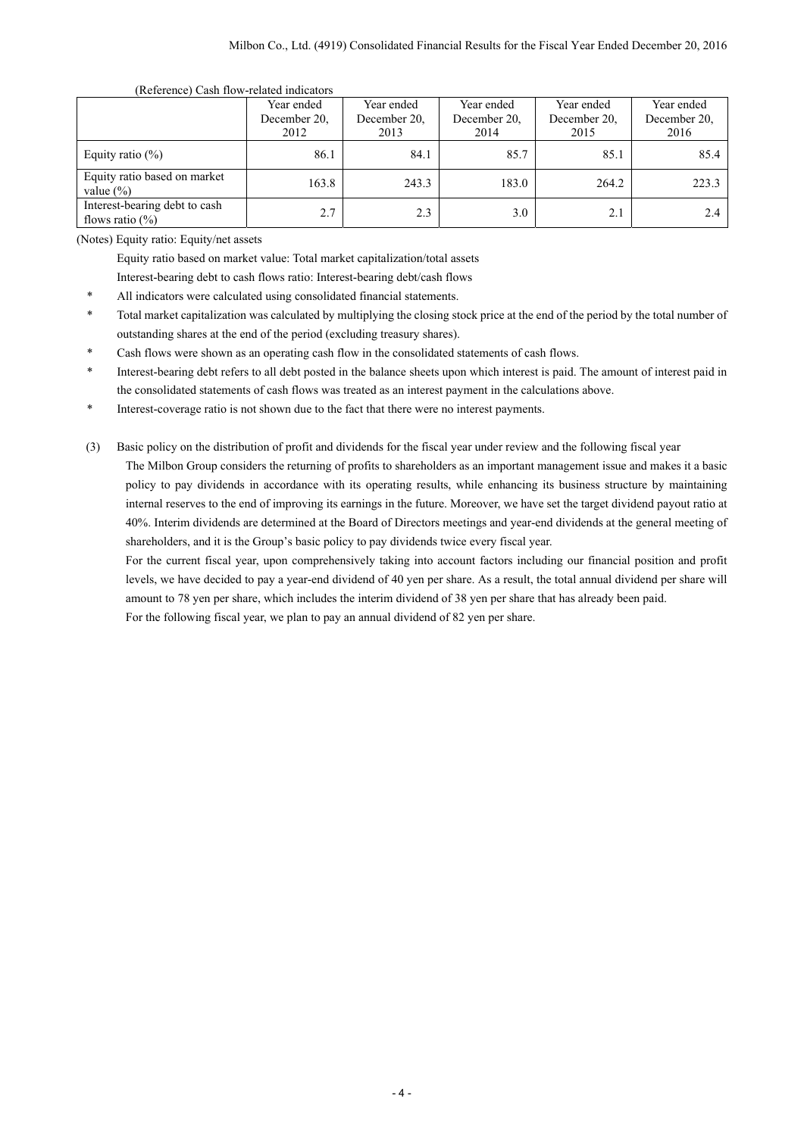#### (Reference) Cash flow-related indicators

|                                                      | Year ended   | Year ended   | Year ended   | Year ended   | Year ended   |  |
|------------------------------------------------------|--------------|--------------|--------------|--------------|--------------|--|
|                                                      | December 20. | December 20. | December 20. | December 20. | December 20, |  |
|                                                      | 2012         | 2013         | 2014         | 2015         | 2016         |  |
| Equity ratio $(\%)$                                  | 86.1         | 84.1         | 85.7         | 85.1         | 85.4         |  |
| Equity ratio based on market<br>value $(\% )$        | 163.8        | 243.3        | 183.0        | 264.2        | 223.3        |  |
| Interest-bearing debt to cash<br>flows ratio $(\% )$ | 2.7          | 2.3          | 3.0          | 2.1          | 2.4          |  |

(Notes) Equity ratio: Equity/net assets

Equity ratio based on market value: Total market capitalization/total assets

Interest-bearing debt to cash flows ratio: Interest-bearing debt/cash flows

- All indicators were calculated using consolidated financial statements.
- \* Total market capitalization was calculated by multiplying the closing stock price at the end of the period by the total number of outstanding shares at the end of the period (excluding treasury shares).
- Cash flows were shown as an operating cash flow in the consolidated statements of cash flows.
- Interest-bearing debt refers to all debt posted in the balance sheets upon which interest is paid. The amount of interest paid in the consolidated statements of cash flows was treated as an interest payment in the calculations above.

Interest-coverage ratio is not shown due to the fact that there were no interest payments.

(3) Basic policy on the distribution of profit and dividends for the fiscal year under review and the following fiscal year The Milbon Group considers the returning of profits to shareholders as an important management issue and makes it a basic

policy to pay dividends in accordance with its operating results, while enhancing its business structure by maintaining internal reserves to the end of improving its earnings in the future. Moreover, we have set the target dividend payout ratio at 40%. Interim dividends are determined at the Board of Directors meetings and year-end dividends at the general meeting of shareholders, and it is the Group's basic policy to pay dividends twice every fiscal year.

For the current fiscal year, upon comprehensively taking into account factors including our financial position and profit levels, we have decided to pay a year-end dividend of 40 yen per share. As a result, the total annual dividend per share will amount to 78 yen per share, which includes the interim dividend of 38 yen per share that has already been paid.

For the following fiscal year, we plan to pay an annual dividend of 82 yen per share.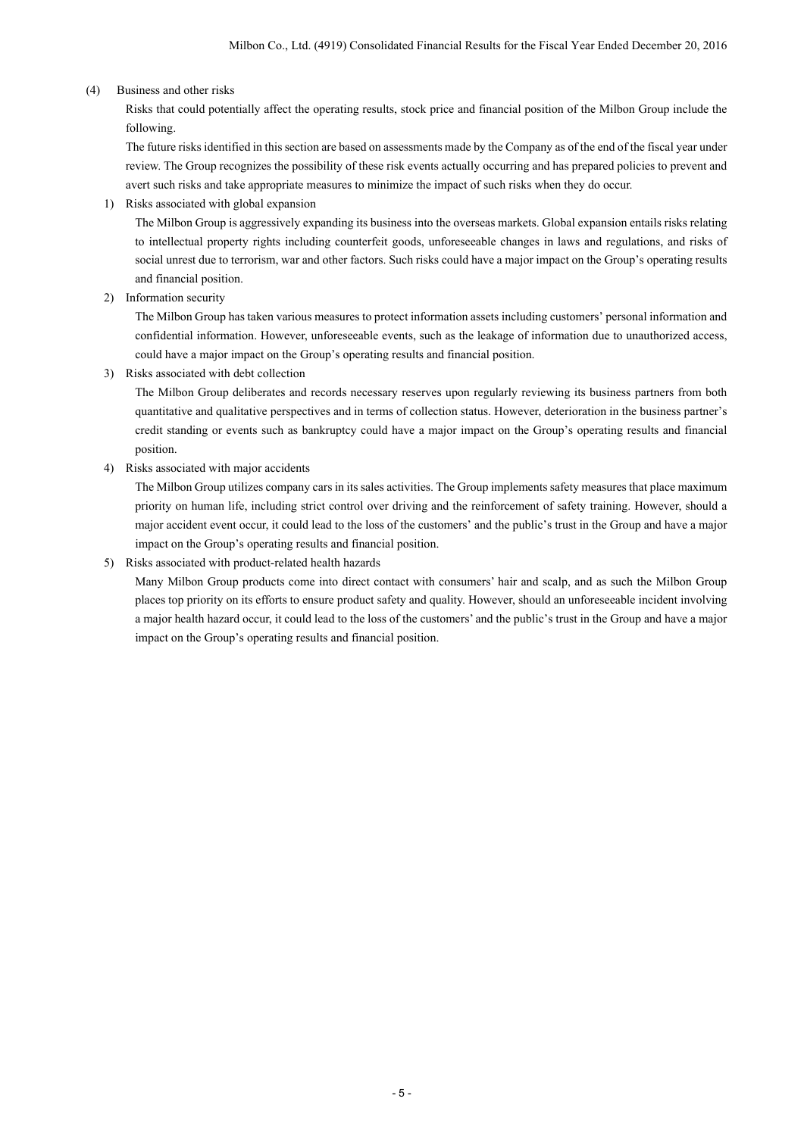## (4) Business and other risks

Risks that could potentially affect the operating results, stock price and financial position of the Milbon Group include the following.

The future risks identified in this section are based on assessments made by the Company as of the end of the fiscal year under review. The Group recognizes the possibility of these risk events actually occurring and has prepared policies to prevent and avert such risks and take appropriate measures to minimize the impact of such risks when they do occur.

1) Risks associated with global expansion

The Milbon Group is aggressively expanding its business into the overseas markets. Global expansion entails risks relating to intellectual property rights including counterfeit goods, unforeseeable changes in laws and regulations, and risks of social unrest due to terrorism, war and other factors. Such risks could have a major impact on the Group's operating results and financial position.

2) Information security

The Milbon Group has taken various measures to protect information assets including customers' personal information and confidential information. However, unforeseeable events, such as the leakage of information due to unauthorized access, could have a major impact on the Group's operating results and financial position.

3) Risks associated with debt collection

The Milbon Group deliberates and records necessary reserves upon regularly reviewing its business partners from both quantitative and qualitative perspectives and in terms of collection status. However, deterioration in the business partner's credit standing or events such as bankruptcy could have a major impact on the Group's operating results and financial position.

4) Risks associated with major accidents

The Milbon Group utilizes company cars in its sales activities. The Group implements safety measures that place maximum priority on human life, including strict control over driving and the reinforcement of safety training. However, should a major accident event occur, it could lead to the loss of the customers' and the public's trust in the Group and have a major impact on the Group's operating results and financial position.

## 5) Risks associated with product-related health hazards

Many Milbon Group products come into direct contact with consumers' hair and scalp, and as such the Milbon Group places top priority on its efforts to ensure product safety and quality. However, should an unforeseeable incident involving a major health hazard occur, it could lead to the loss of the customers' and the public's trust in the Group and have a major impact on the Group's operating results and financial position.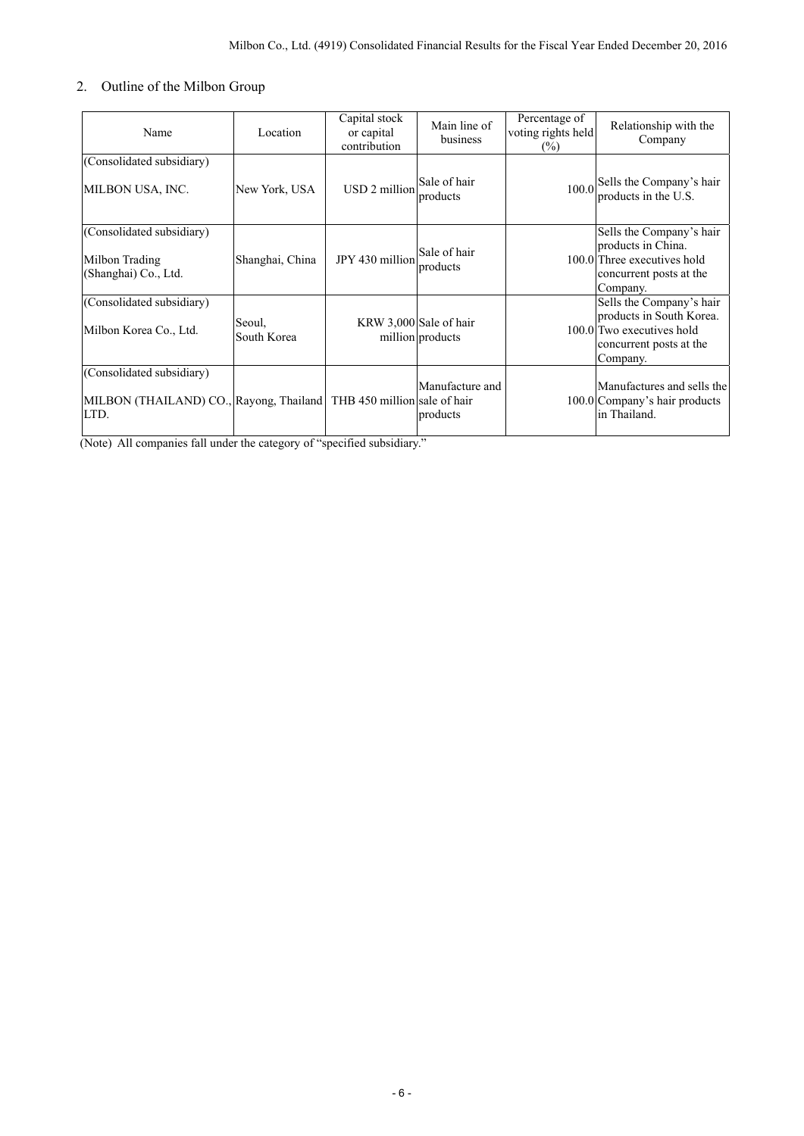# 2. Outline of the Milbon Group

| Name                                                                                                      | Location              | Capital stock<br>or capital<br>contribution | Main line of<br>business                   | Percentage of<br>voting rights held<br>$(\%)$ | Relationship with the<br>Company                                                                                         |
|-----------------------------------------------------------------------------------------------------------|-----------------------|---------------------------------------------|--------------------------------------------|-----------------------------------------------|--------------------------------------------------------------------------------------------------------------------------|
| (Consolidated subsidiary)<br>MILBON USA, INC.                                                             | New York, USA         | USD 2 million                               | Sale of hair<br>products                   |                                               | 100.0 Sells the Company's hair<br>products in the U.S.                                                                   |
| (Consolidated subsidiary)<br>Milbon Trading<br>(Shanghai) Co., Ltd.                                       | Shanghai, China       | JPY 430 million                             | Sale of hair<br>products                   |                                               | Sells the Company's hair<br>products in China.<br>100.0 Three executives hold<br>concurrent posts at the<br>Company.     |
| (Consolidated subsidiary)<br>Milbon Korea Co., Ltd.                                                       | Seoul,<br>South Korea |                                             | KRW 3,000 Sale of hair<br>million products |                                               | Sells the Company's hair<br>products in South Korea.<br>100.0 Two executives hold<br>concurrent posts at the<br>Company. |
| (Consolidated subsidiary)<br>MILBON (THAILAND) CO., Rayong, Thailand THB 450 million sale of hair<br>LTD. |                       |                                             | Manufacture and<br>products                |                                               | Manufactures and sells the<br>100.0 Company's hair products<br>in Thailand.                                              |

(Note) All companies fall under the category of "specified subsidiary."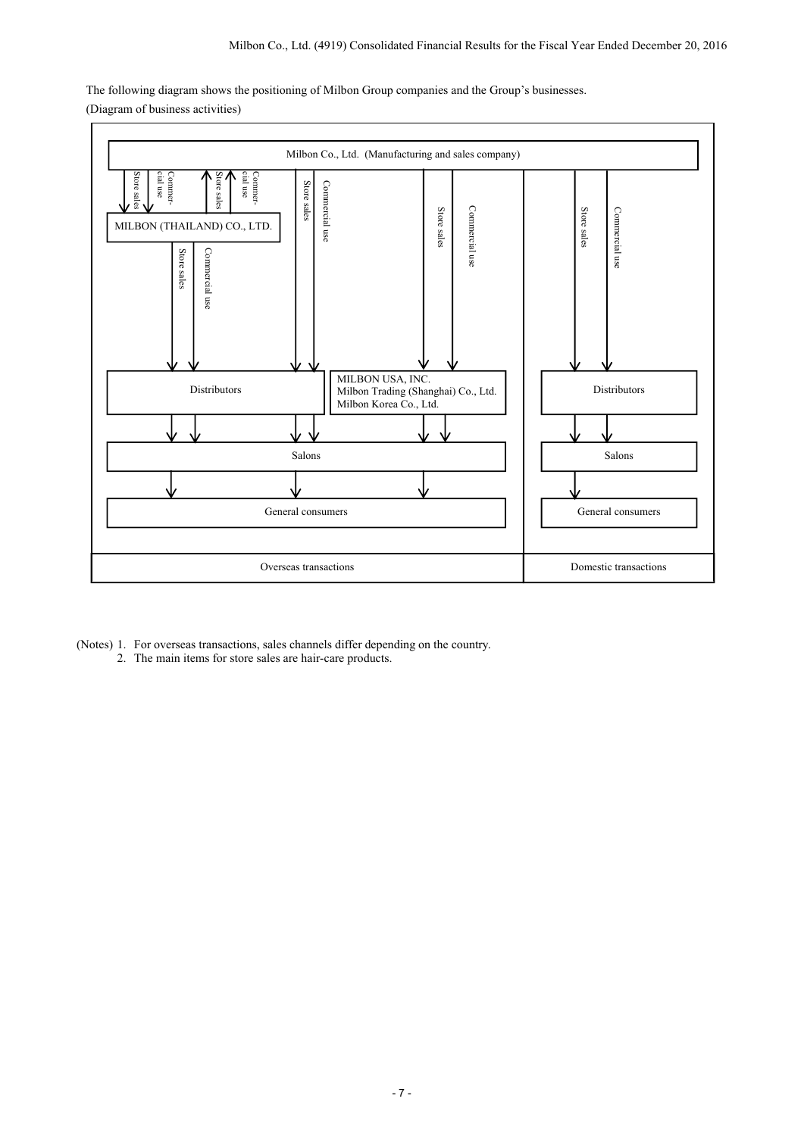The following diagram shows the positioning of Milbon Group companies and the Group's businesses. (Diagram of business activities)



- (Notes) 1. For overseas transactions, sales channels differ depending on the country.
	- 2. The main items for store sales are hair-care products.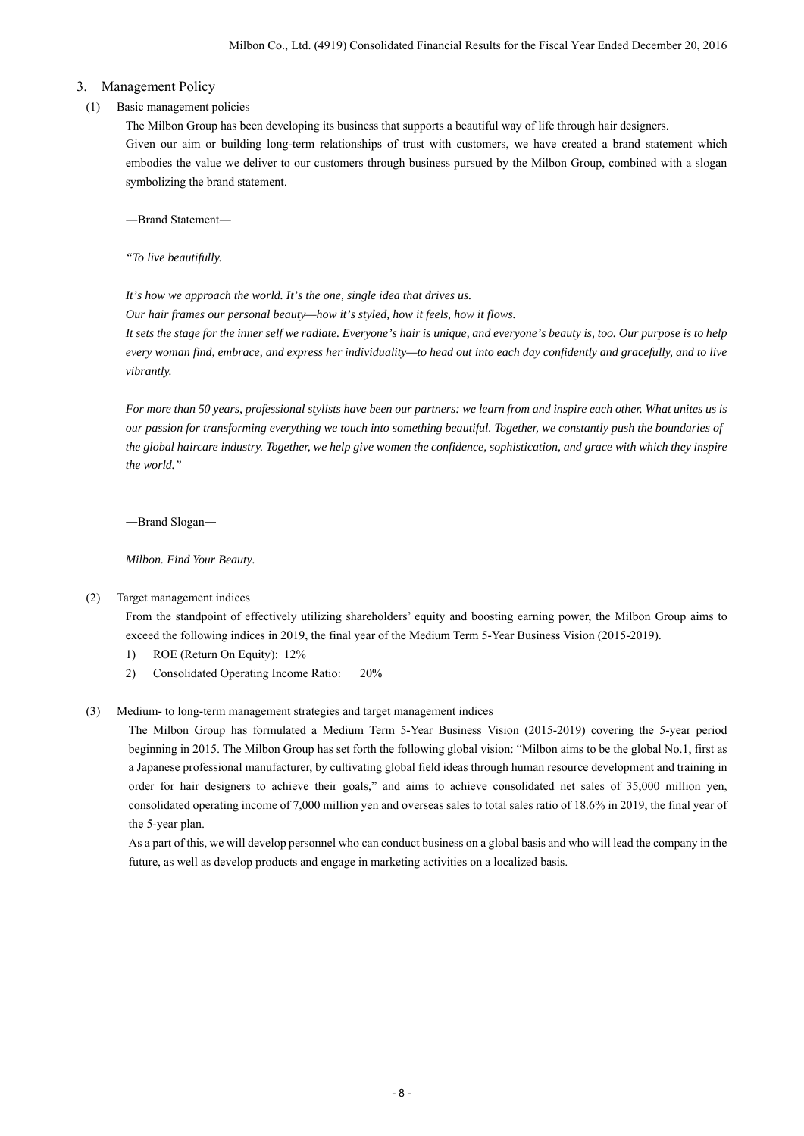## 3. Management Policy

## (1) Basic management policies

The Milbon Group has been developing its business that supports a beautiful way of life through hair designers. Given our aim or building long-term relationships of trust with customers, we have created a brand statement which embodies the value we deliver to our customers through business pursued by the Milbon Group, combined with a slogan symbolizing the brand statement.

―Brand Statement―

*"To live beautifully.* 

*It's how we approach the world. It's the one, single idea that drives us.* 

*Our hair frames our personal beauty—how it's styled, how it feels, how it flows.* 

*It sets the stage for the inner self we radiate. Everyone's hair is unique, and everyone's beauty is, too. Our purpose is to help every woman find, embrace, and express her individuality—to head out into each day confidently and gracefully, and to live vibrantly.* 

*For more than 50 years, professional stylists have been our partners: we learn from and inspire each other. What unites us is our passion for transforming everything we touch into something beautiful. Together, we constantly push the boundaries of the global haircare industry. Together, we help give women the confidence, sophistication, and grace with which they inspire the world."* 

―Brand Slogan―

*Milbon. Find Your Beauty.* 

(2) Target management indices

 From the standpoint of effectively utilizing shareholders' equity and boosting earning power, the Milbon Group aims to exceed the following indices in 2019, the final year of the Medium Term 5-Year Business Vision (2015-2019).

- 1) ROE (Return On Equity): 12%
- 2) Consolidated Operating Income Ratio: 20%

## (3) Medium- to long-term management strategies and target management indices

 The Milbon Group has formulated a Medium Term 5-Year Business Vision (2015-2019) covering the 5-year period beginning in 2015. The Milbon Group has set forth the following global vision: "Milbon aims to be the global No.1, first as a Japanese professional manufacturer, by cultivating global field ideas through human resource development and training in order for hair designers to achieve their goals," and aims to achieve consolidated net sales of 35,000 million yen, consolidated operating income of 7,000 million yen and overseas sales to total sales ratio of 18.6% in 2019, the final year of the 5-year plan.

As a part of this, we will develop personnel who can conduct business on a global basis and who will lead the company in the future, as well as develop products and engage in marketing activities on a localized basis.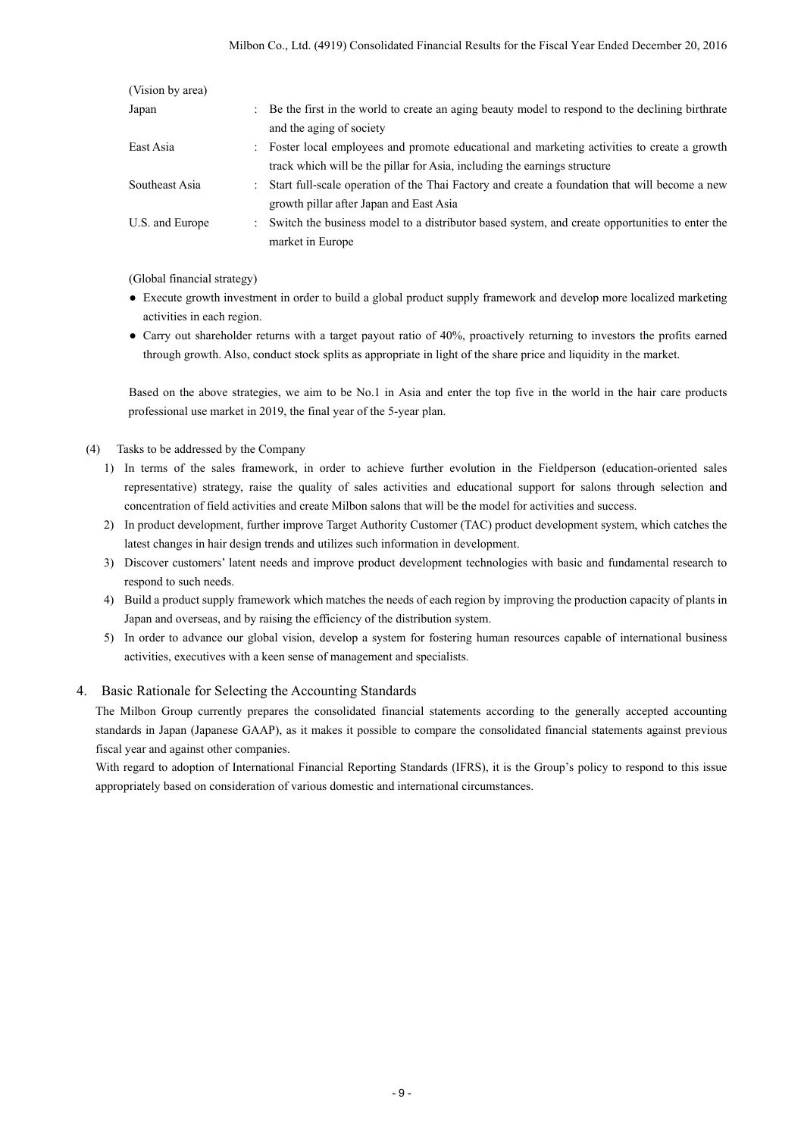| (Vision by area) |                                                                                                                               |
|------------------|-------------------------------------------------------------------------------------------------------------------------------|
| Japan            | : Be the first in the world to create an aging beauty model to respond to the declining birthrate<br>and the aging of society |
|                  |                                                                                                                               |
| East Asia        | : Foster local employees and promote educational and marketing activities to create a growth                                  |
|                  | track which will be the pillar for Asia, including the earnings structure                                                     |
| Southeast Asia   | : Start full-scale operation of the Thai Factory and create a foundation that will become a new                               |
|                  | growth pillar after Japan and East Asia                                                                                       |
| U.S. and Europe  | : Switch the business model to a distributor based system, and create opportunities to enter the                              |
|                  | market in Europe                                                                                                              |

(Global financial strategy)

- Execute growth investment in order to build a global product supply framework and develop more localized marketing activities in each region.
- Carry out shareholder returns with a target payout ratio of 40%, proactively returning to investors the profits earned through growth. Also, conduct stock splits as appropriate in light of the share price and liquidity in the market.

Based on the above strategies, we aim to be No.1 in Asia and enter the top five in the world in the hair care products professional use market in 2019, the final year of the 5-year plan.

- (4) Tasks to be addressed by the Company
	- 1) In terms of the sales framework, in order to achieve further evolution in the Fieldperson (education-oriented sales representative) strategy, raise the quality of sales activities and educational support for salons through selection and concentration of field activities and create Milbon salons that will be the model for activities and success.
	- 2) In product development, further improve Target Authority Customer (TAC) product development system, which catches the latest changes in hair design trends and utilizes such information in development.
	- 3) Discover customers' latent needs and improve product development technologies with basic and fundamental research to respond to such needs.
	- 4) Build a product supply framework which matches the needs of each region by improving the production capacity of plants in Japan and overseas, and by raising the efficiency of the distribution system.
	- 5) In order to advance our global vision, develop a system for fostering human resources capable of international business activities, executives with a keen sense of management and specialists.

## 4. Basic Rationale for Selecting the Accounting Standards

The Milbon Group currently prepares the consolidated financial statements according to the generally accepted accounting standards in Japan (Japanese GAAP), as it makes it possible to compare the consolidated financial statements against previous fiscal year and against other companies.

With regard to adoption of International Financial Reporting Standards (IFRS), it is the Group's policy to respond to this issue appropriately based on consideration of various domestic and international circumstances.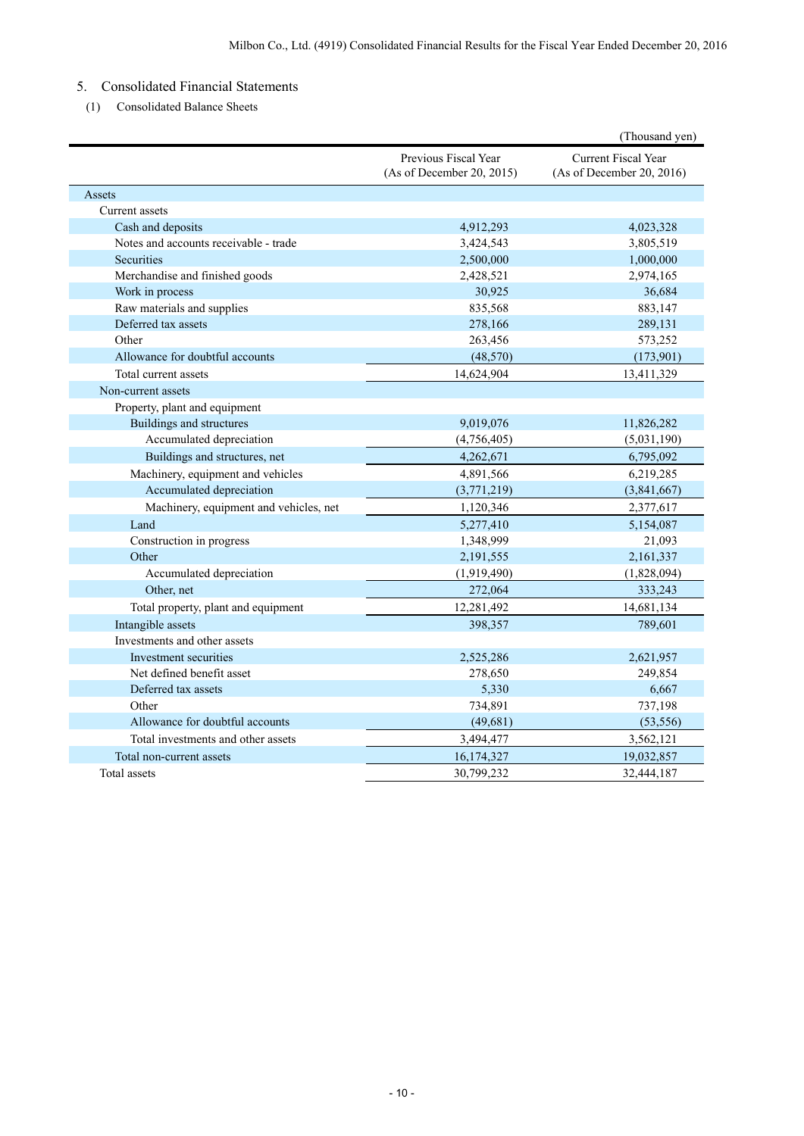# 5. Consolidated Financial Statements

(1) Consolidated Balance Sheets

|                                        |                                                   | (Thousand yen)                                          |
|----------------------------------------|---------------------------------------------------|---------------------------------------------------------|
|                                        | Previous Fiscal Year<br>(As of December 20, 2015) | <b>Current Fiscal Year</b><br>(As of December 20, 2016) |
| Assets                                 |                                                   |                                                         |
| Current assets                         |                                                   |                                                         |
| Cash and deposits                      | 4,912,293                                         | 4,023,328                                               |
| Notes and accounts receivable - trade  | 3,424,543                                         | 3,805,519                                               |
| <b>Securities</b>                      | 2,500,000                                         | 1,000,000                                               |
| Merchandise and finished goods         | 2,428,521                                         | 2,974,165                                               |
| Work in process                        | 30,925                                            | 36,684                                                  |
| Raw materials and supplies             | 835,568                                           | 883,147                                                 |
| Deferred tax assets                    | 278,166                                           | 289,131                                                 |
| Other                                  | 263,456                                           | 573,252                                                 |
| Allowance for doubtful accounts        | (48, 570)                                         | (173,901)                                               |
| Total current assets                   | 14,624,904                                        | 13,411,329                                              |
| Non-current assets                     |                                                   |                                                         |
| Property, plant and equipment          |                                                   |                                                         |
| Buildings and structures               | 9,019,076                                         | 11,826,282                                              |
| Accumulated depreciation               | (4,756,405)                                       | (5,031,190)                                             |
| Buildings and structures, net          | 4,262,671                                         | 6,795,092                                               |
| Machinery, equipment and vehicles      | 4,891,566                                         | 6,219,285                                               |
| Accumulated depreciation               | (3,771,219)                                       | (3,841,667)                                             |
| Machinery, equipment and vehicles, net | 1,120,346                                         | 2,377,617                                               |
| Land                                   | 5,277,410                                         | 5,154,087                                               |
| Construction in progress               | 1,348,999                                         | 21,093                                                  |
| Other                                  | 2,191,555                                         | 2,161,337                                               |
| Accumulated depreciation               | (1,919,490)                                       | (1,828,094)                                             |
| Other, net                             | 272,064                                           | 333,243                                                 |
| Total property, plant and equipment    | 12,281,492                                        | 14,681,134                                              |
| Intangible assets                      | 398,357                                           | 789,601                                                 |
| Investments and other assets           |                                                   |                                                         |
| Investment securities                  | 2,525,286                                         | 2,621,957                                               |
| Net defined benefit asset              | 278,650                                           | 249,854                                                 |
| Deferred tax assets                    | 5,330                                             | 6,667                                                   |
| Other                                  | 734,891                                           | 737,198                                                 |
| Allowance for doubtful accounts        | (49,681)                                          | (53, 556)                                               |
| Total investments and other assets     | 3,494,477                                         | 3,562,121                                               |
| Total non-current assets               | 16,174,327                                        | 19,032,857                                              |
| Total assets                           | 30,799,232                                        | 32,444,187                                              |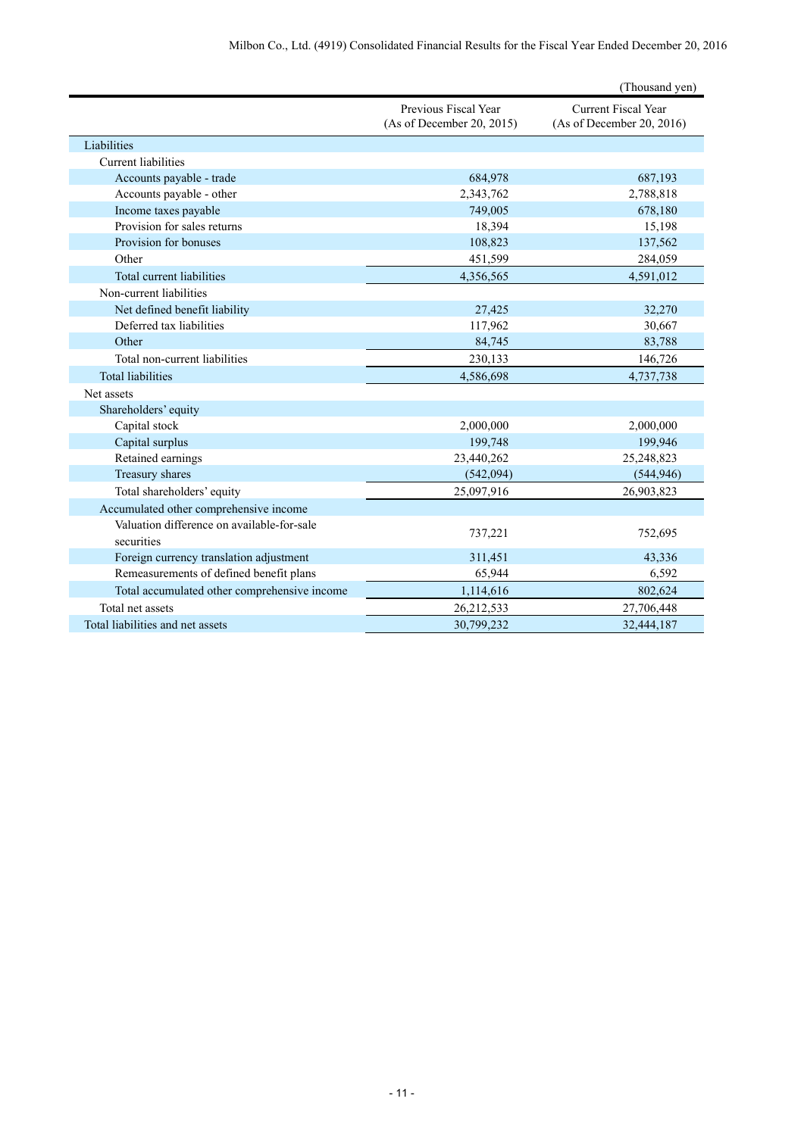|                                              |                                                   | (Thousand yen)                                          |
|----------------------------------------------|---------------------------------------------------|---------------------------------------------------------|
|                                              | Previous Fiscal Year<br>(As of December 20, 2015) | <b>Current Fiscal Year</b><br>(As of December 20, 2016) |
| Liabilities                                  |                                                   |                                                         |
| <b>Current liabilities</b>                   |                                                   |                                                         |
| Accounts payable - trade                     | 684,978                                           | 687,193                                                 |
| Accounts payable - other                     | 2,343,762                                         | 2,788,818                                               |
| Income taxes payable                         | 749,005                                           | 678,180                                                 |
| Provision for sales returns                  | 18,394                                            | 15,198                                                  |
| Provision for bonuses                        | 108,823                                           | 137,562                                                 |
| Other                                        | 451,599                                           | 284,059                                                 |
| Total current liabilities                    | 4,356,565                                         | 4,591,012                                               |
| Non-current liabilities                      |                                                   |                                                         |
| Net defined benefit liability                | 27,425                                            | 32,270                                                  |
| Deferred tax liabilities                     | 117,962                                           | 30,667                                                  |
| Other                                        | 84,745                                            | 83,788                                                  |
| Total non-current liabilities                | 230,133                                           | 146,726                                                 |
| <b>Total liabilities</b>                     | 4,586,698                                         | 4,737,738                                               |
| Net assets                                   |                                                   |                                                         |
| Shareholders' equity                         |                                                   |                                                         |
| Capital stock                                | 2,000,000                                         | 2,000,000                                               |
| Capital surplus                              | 199,748                                           | 199,946                                                 |
| Retained earnings                            | 23,440,262                                        | 25,248,823                                              |
| Treasury shares                              | (542,094)                                         | (544, 946)                                              |
| Total shareholders' equity                   | 25,097,916                                        | 26,903,823                                              |
| Accumulated other comprehensive income       |                                                   |                                                         |
| Valuation difference on available-for-sale   | 737,221                                           | 752,695                                                 |
| securities                                   |                                                   |                                                         |
| Foreign currency translation adjustment      | 311,451                                           | 43,336                                                  |
| Remeasurements of defined benefit plans      | 65,944                                            | 6,592                                                   |
| Total accumulated other comprehensive income | 1,114,616                                         | 802,624                                                 |
| Total net assets                             | 26,212,533                                        | 27,706,448                                              |
| Total liabilities and net assets             | 30,799,232                                        | 32,444,187                                              |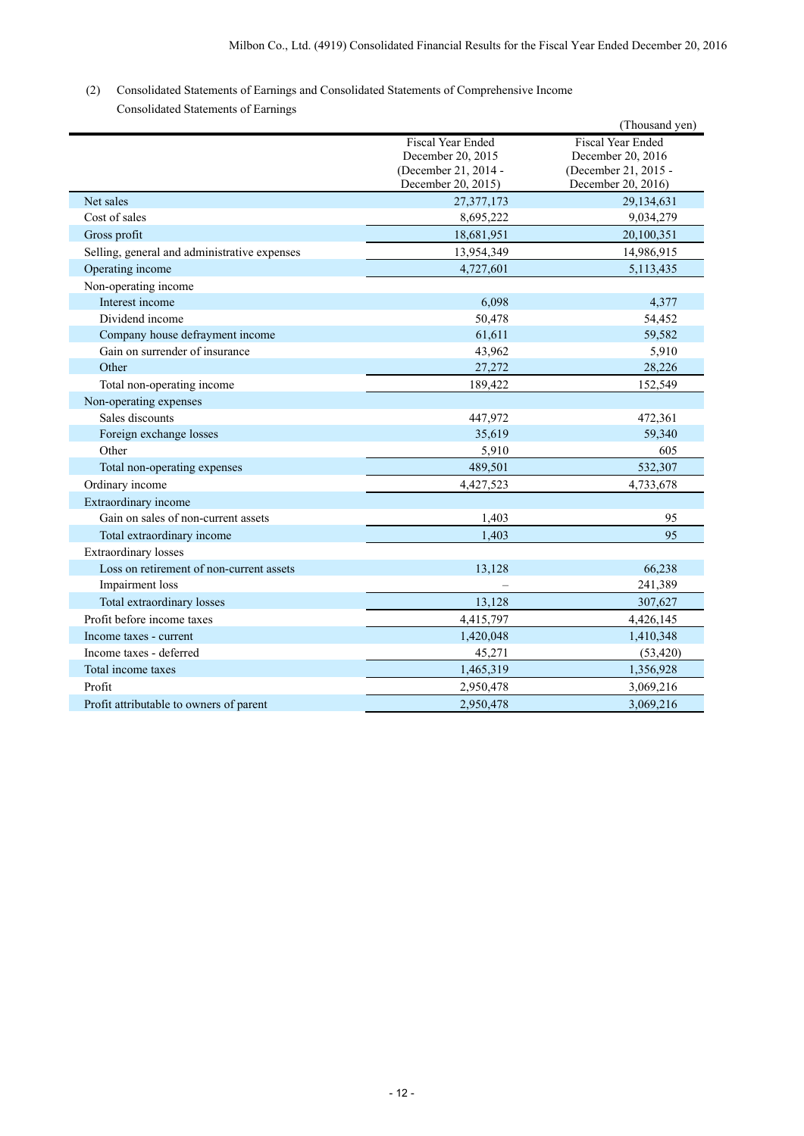# (2) Consolidated Statements of Earnings and Consolidated Statements of Comprehensive Income

| Consolidated Statements of Earnings |  |  |
|-------------------------------------|--|--|
|-------------------------------------|--|--|

|                                              |                                                                                      | (Thousand yen)                                                                              |
|----------------------------------------------|--------------------------------------------------------------------------------------|---------------------------------------------------------------------------------------------|
|                                              | Fiscal Year Ended<br>December 20, 2015<br>(December 21, 2014 -<br>December 20, 2015) | <b>Fiscal Year Ended</b><br>December 20, 2016<br>(December 21, 2015 -<br>December 20, 2016) |
| Net sales                                    | 27,377,173                                                                           | 29,134,631                                                                                  |
| Cost of sales                                | 8,695,222                                                                            | 9,034,279                                                                                   |
| Gross profit                                 | 18,681,951                                                                           | 20,100,351                                                                                  |
| Selling, general and administrative expenses | 13,954,349                                                                           | 14,986,915                                                                                  |
| Operating income                             | 4,727,601                                                                            | 5,113,435                                                                                   |
| Non-operating income                         |                                                                                      |                                                                                             |
| Interest income                              | 6,098                                                                                | 4,377                                                                                       |
| Dividend income                              | 50,478                                                                               | 54,452                                                                                      |
| Company house defrayment income              | 61,611                                                                               | 59,582                                                                                      |
| Gain on surrender of insurance               | 43,962                                                                               | 5,910                                                                                       |
| Other                                        | 27,272                                                                               | 28,226                                                                                      |
| Total non-operating income                   | 189,422                                                                              | 152,549                                                                                     |
| Non-operating expenses                       |                                                                                      |                                                                                             |
| Sales discounts                              | 447,972                                                                              | 472,361                                                                                     |
| Foreign exchange losses                      | 35,619                                                                               | 59,340                                                                                      |
| Other                                        | 5,910                                                                                | 605                                                                                         |
| Total non-operating expenses                 | 489,501                                                                              | 532,307                                                                                     |
| Ordinary income                              | 4,427,523                                                                            | 4,733,678                                                                                   |
| Extraordinary income                         |                                                                                      |                                                                                             |
| Gain on sales of non-current assets          | 1,403                                                                                | 95                                                                                          |
| Total extraordinary income                   | 1,403                                                                                | 95                                                                                          |
| <b>Extraordinary losses</b>                  |                                                                                      |                                                                                             |
| Loss on retirement of non-current assets     | 13,128                                                                               | 66,238                                                                                      |
| Impairment loss                              |                                                                                      | 241,389                                                                                     |
| Total extraordinary losses                   | 13,128                                                                               | 307,627                                                                                     |
| Profit before income taxes                   | 4,415,797                                                                            | 4,426,145                                                                                   |
| Income taxes - current                       | 1,420,048                                                                            | 1,410,348                                                                                   |
| Income taxes - deferred                      | 45,271                                                                               | (53, 420)                                                                                   |
| Total income taxes                           | 1,465,319                                                                            | 1,356,928                                                                                   |
| Profit                                       | 2,950,478                                                                            | 3,069,216                                                                                   |
| Profit attributable to owners of parent      | 2,950,478                                                                            | 3,069,216                                                                                   |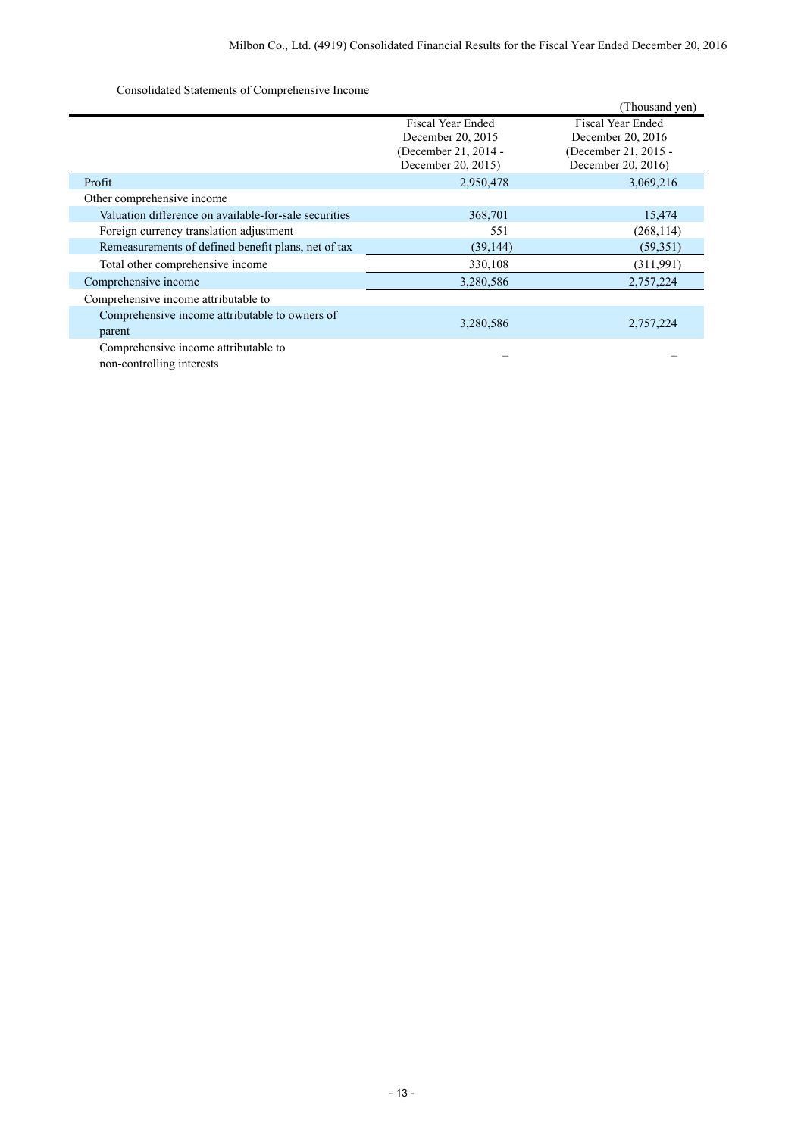Consolidated Statements of Comprehensive Income

|                                                       |                          | (Thousand yen)           |
|-------------------------------------------------------|--------------------------|--------------------------|
|                                                       | <b>Fiscal Year Ended</b> | <b>Fiscal Year Ended</b> |
|                                                       | December 20, 2015        | December 20, 2016        |
|                                                       | (December 21, 2014 -     | (December 21, 2015 -     |
|                                                       | December 20, 2015)       | December 20, 2016)       |
| Profit                                                | 2,950,478                | 3,069,216                |
| Other comprehensive income                            |                          |                          |
| Valuation difference on available-for-sale securities | 368,701                  | 15,474                   |
| Foreign currency translation adjustment               | 551                      | (268, 114)               |
| Remeasurements of defined benefit plans, net of tax   | (39, 144)                | (59,351)                 |
| Total other comprehensive income                      | 330,108                  | (311,991)                |
| Comprehensive income                                  | 3,280,586                | 2,757,224                |
| Comprehensive income attributable to                  |                          |                          |
| Comprehensive income attributable to owners of        |                          |                          |
| parent                                                | 3,280,586                | 2,757,224                |
| Comprehensive income attributable to                  |                          |                          |
| non-controlling interests                             |                          |                          |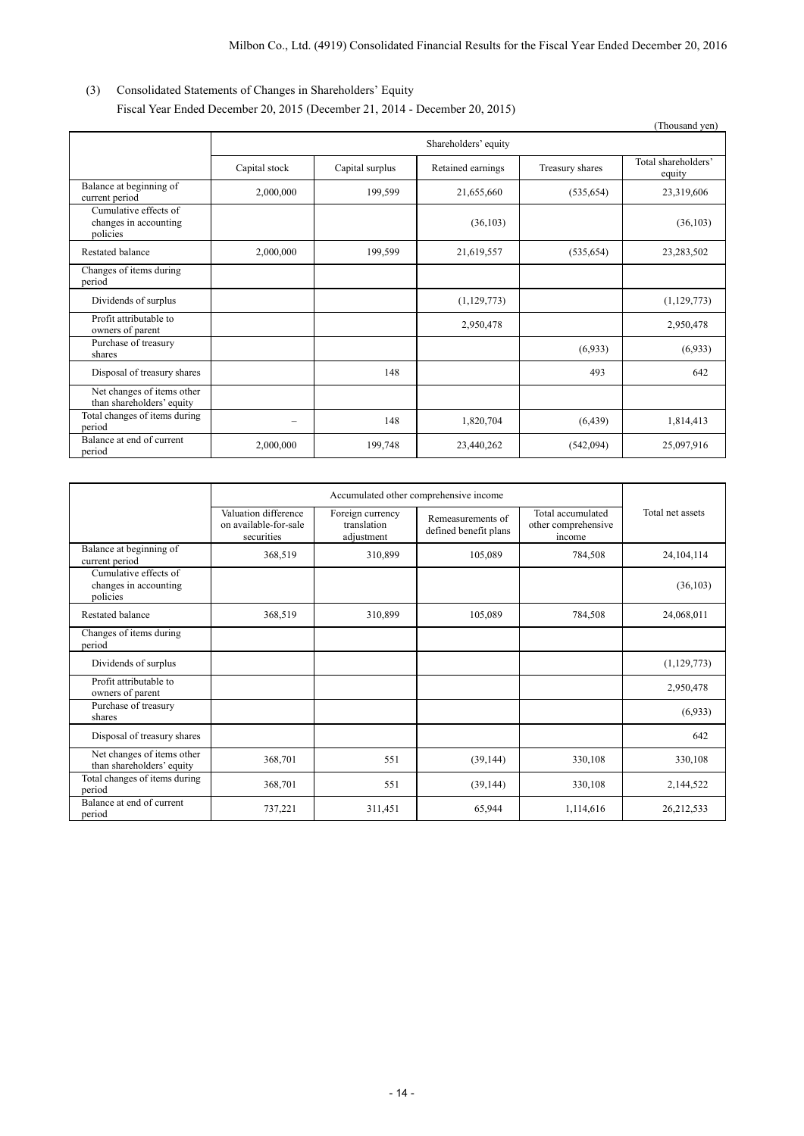## (3) Consolidated Statements of Changes in Shareholders' Equity Fiscal Year Ended December 20, 2015 (December 21, 2014 - December 20, 2015)

|                                                            |                      |                 |                   |                 | (Thousand yen)                |
|------------------------------------------------------------|----------------------|-----------------|-------------------|-----------------|-------------------------------|
|                                                            | Shareholders' equity |                 |                   |                 |                               |
|                                                            | Capital stock        | Capital surplus | Retained earnings | Treasury shares | Total shareholders'<br>equity |
| Balance at beginning of<br>current period                  | 2,000,000            | 199,599         | 21,655,660        | (535, 654)      | 23,319,606                    |
| Cumulative effects of<br>changes in accounting<br>policies |                      |                 | (36, 103)         |                 | (36, 103)                     |
| Restated balance                                           | 2,000,000            | 199,599         | 21,619,557        | (535, 654)      | 23,283,502                    |
| Changes of items during<br>period                          |                      |                 |                   |                 |                               |
| Dividends of surplus                                       |                      |                 | (1, 129, 773)     |                 | (1,129,773)                   |
| Profit attributable to<br>owners of parent                 |                      |                 | 2,950,478         |                 | 2,950,478                     |
| Purchase of treasury<br>shares                             |                      |                 |                   | (6,933)         | (6,933)                       |
| Disposal of treasury shares                                |                      | 148             |                   | 493             | 642                           |
| Net changes of items other<br>than shareholders' equity    |                      |                 |                   |                 |                               |
| Total changes of items during<br>period                    |                      | 148             | 1,820,704         | (6, 439)        | 1,814,413                     |
| Balance at end of current<br>period                        | 2,000,000            | 199,748         | 23,440,262        | (542,094)       | 25,097,916                    |

|                                                            | Accumulated other comprehensive income                      |                                               |                                            |                                                    |                  |
|------------------------------------------------------------|-------------------------------------------------------------|-----------------------------------------------|--------------------------------------------|----------------------------------------------------|------------------|
|                                                            | Valuation difference<br>on available-for-sale<br>securities | Foreign currency<br>translation<br>adjustment | Remeasurements of<br>defined benefit plans | Total accumulated<br>other comprehensive<br>income | Total net assets |
| Balance at beginning of<br>current period                  | 368,519                                                     | 310,899                                       | 105,089                                    | 784,508                                            | 24, 104, 114     |
| Cumulative effects of<br>changes in accounting<br>policies |                                                             |                                               |                                            |                                                    | (36,103)         |
| Restated balance                                           | 368,519                                                     | 310,899                                       | 105,089                                    | 784,508                                            | 24,068,011       |
| Changes of items during<br>period                          |                                                             |                                               |                                            |                                                    |                  |
| Dividends of surplus                                       |                                                             |                                               |                                            |                                                    | (1,129,773)      |
| Profit attributable to<br>owners of parent                 |                                                             |                                               |                                            |                                                    | 2,950,478        |
| Purchase of treasury<br>shares                             |                                                             |                                               |                                            |                                                    | (6,933)          |
| Disposal of treasury shares                                |                                                             |                                               |                                            |                                                    | 642              |
| Net changes of items other<br>than shareholders' equity    | 368,701                                                     | 551                                           | (39, 144)                                  | 330,108                                            | 330,108          |
| Total changes of items during<br>period                    | 368,701                                                     | 551                                           | (39, 144)                                  | 330,108                                            | 2,144,522        |
| Balance at end of current<br>period                        | 737,221                                                     | 311,451                                       | 65,944                                     | 1,114,616                                          | 26,212,533       |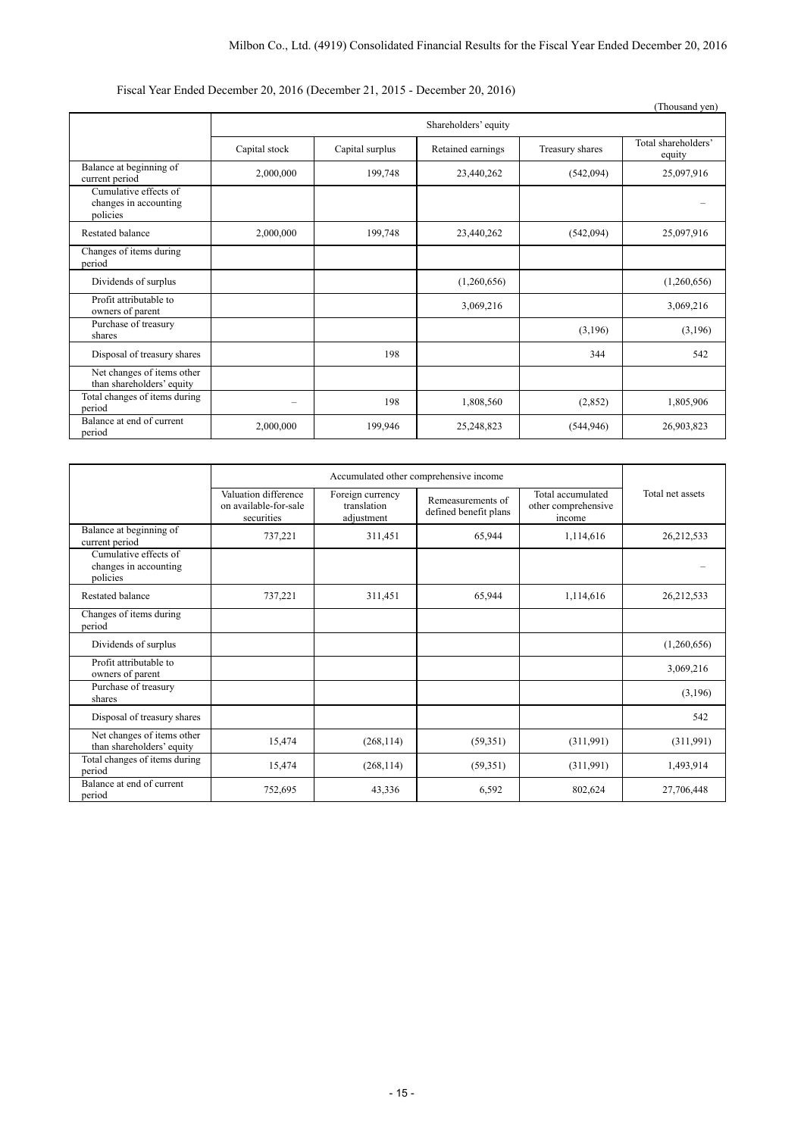## Fiscal Year Ended December 20, 2016 (December 21, 2015 - December 20, 2016)

|                                                            |                      |                 |                   |                 | (Thousand yen)                |
|------------------------------------------------------------|----------------------|-----------------|-------------------|-----------------|-------------------------------|
|                                                            | Shareholders' equity |                 |                   |                 |                               |
|                                                            | Capital stock        | Capital surplus | Retained earnings | Treasury shares | Total shareholders'<br>equity |
| Balance at beginning of<br>current period                  | 2,000,000            | 199,748         | 23,440,262        | (542,094)       | 25,097,916                    |
| Cumulative effects of<br>changes in accounting<br>policies |                      |                 |                   |                 |                               |
| Restated balance                                           | 2,000,000            | 199,748         | 23,440,262        | (542,094)       | 25,097,916                    |
| Changes of items during<br>period                          |                      |                 |                   |                 |                               |
| Dividends of surplus                                       |                      |                 | (1,260,656)       |                 | (1,260,656)                   |
| Profit attributable to<br>owners of parent                 |                      |                 | 3,069,216         |                 | 3,069,216                     |
| Purchase of treasury<br>shares                             |                      |                 |                   | (3,196)         | (3,196)                       |
| Disposal of treasury shares                                |                      | 198             |                   | 344             | 542                           |
| Net changes of items other<br>than shareholders' equity    |                      |                 |                   |                 |                               |
| Total changes of items during<br>period                    | -                    | 198             | 1,808,560         | (2,852)         | 1,805,906                     |
| Balance at end of current<br>period                        | 2,000,000            | 199,946         | 25,248,823        | (544, 946)      | 26,903,823                    |

|                                                            | Accumulated other comprehensive income                      |                                               |                                            |                                                    |                  |
|------------------------------------------------------------|-------------------------------------------------------------|-----------------------------------------------|--------------------------------------------|----------------------------------------------------|------------------|
|                                                            | Valuation difference<br>on available-for-sale<br>securities | Foreign currency<br>translation<br>adjustment | Remeasurements of<br>defined benefit plans | Total accumulated<br>other comprehensive<br>income | Total net assets |
| Balance at beginning of<br>current period                  | 737,221                                                     | 311,451                                       | 65,944                                     | 1,114,616                                          | 26,212,533       |
| Cumulative effects of<br>changes in accounting<br>policies |                                                             |                                               |                                            |                                                    |                  |
| Restated balance                                           | 737,221                                                     | 311,451                                       | 65,944                                     | 1,114,616                                          | 26,212,533       |
| Changes of items during<br>period                          |                                                             |                                               |                                            |                                                    |                  |
| Dividends of surplus                                       |                                                             |                                               |                                            |                                                    | (1,260,656)      |
| Profit attributable to<br>owners of parent                 |                                                             |                                               |                                            |                                                    | 3,069,216        |
| Purchase of treasury<br>shares                             |                                                             |                                               |                                            |                                                    | (3,196)          |
| Disposal of treasury shares                                |                                                             |                                               |                                            |                                                    | 542              |
| Net changes of items other<br>than shareholders' equity    | 15,474                                                      | (268, 114)                                    | (59,351)                                   | (311,991)                                          | (311,991)        |
| Total changes of items during<br>period                    | 15,474                                                      | (268, 114)                                    | (59,351)                                   | (311,991)                                          | 1,493,914        |
| Balance at end of current<br>period                        | 752,695                                                     | 43,336                                        | 6,592                                      | 802,624                                            | 27,706,448       |